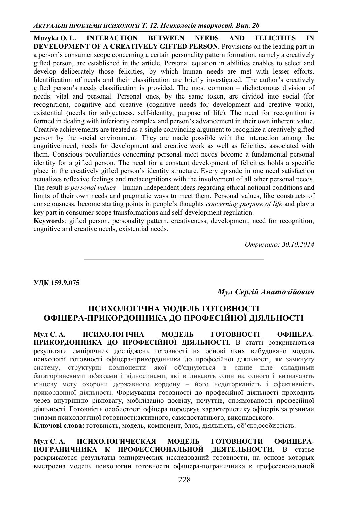**Muzyka O. L. INTERACTION BETWEEN NEEDS AND FELICITIES IN DEVELOPMENT OF A CREATIVELY GIFTED PERSON.** Provisions on the leading part in a person's consumer scope concerning a certain personality pattern formation, namely a creatively gifted person, are established in the article. Personal equation in abilities enables to select and develop deliberately those felicities, by which human needs are met with lesser efforts. Identification of needs and their classification are briefly investigated. The author's creatively gifted person's needs classification is provided. The most common  $-$  dichotomous division of needs: vital and personal. Personal ones, by the same token, are divided into social (for recognition), cognitive and creative (cognitive needs for development and creative work), existential (needs for subjectness, self-identity, purpose of life). The need for recognition is formed in dealing with inferiority complex and person's advancement in their own inherent value. Creative achievements are treated as a single convincing argument to recognize a creatively gifted person by the social environment. They are made possible with the interaction among the cognitive need, needs for development and creative work as well as felicities, associated with them. Conscious peculiarities concerning personal meet needs become a fundamental personal identity for a gifted person. The need for a constant development of felicities holds a specific place in the creatively gifted person's identity structure. Every episode in one need satisfaction actualizes reflexive feelings and metacognitions with the involvement of all other personal needs. The result is *personal values* – human independent ideas regarding ethical notional conditions and limits of their own needs and pragmatic ways to meet them. Personal values, like constructs of consciousness, become starting points in people's thoughts *concerning purpose of life* and play a key part in consumer scope transformations and self-development regulation.

**Keywords**: gifted person, personality pattern, creativeness, development, need for recognition, cognitive and creative needs, existential needs.

*Ɉɬɪɢɦɚɧɨ: 30.10.2014* 

УДК 159.9.075

Мул Сергій Анатолійович

## ПСИХОЛОГІЧНА МОДЕЛЬ ГОТОВНОСТІ ОФІЦЕРА-ПРИКОРДОННИКА ДО ПРОФЕСІЙНОЇ ДІЯЛЬНОСТІ

Мул С. А. ПСИХОЛОГІЧНА МОДЕЛЬ ГОТОВНОСТІ ОФІЦЕРА-ПРИКОРДОННИКА ДО ПРОФЕСІЙНОЇ ДІЯЛЬНОСТІ. В статті розкриваються результати емпіричних досліджень готовності на основі яких вибудовано модель психології готовності офіцера-прикордонника до професійної діяльності, як замкнуту систему, структурні компоненти якої об'єднуються в єдине ціле складними багаторівневими зв'язками і відносинами, які впливають один на одного і визначають кінцеву мету охорони державного кордону - його недоторканість і ефективність прикордонної діяльності. Формування готовності до професійної діяльності проходить через внутрішню рівновагу, мобілізацію досвіду, почуттів, спрямованості професійної діяльності. Готовність особистості офіцера породжує характеристику офіцерів за різними типами психологічної готовності: активного, самодостатнього, виконавського.

Ключові слова: готовність, модель, компонент, блок, діяльність, об'єкт,особистість.

Мул С. А. ПСИХОЛОГИЧЕСКАЯ МОДЕЛЬ ГОТОВНОСТИ ОФИЦЕРА-ПОГРАНИЧНИКА К ПРОФЕССИОНАЛЬНОЙ ДЕЯТЕЛЬНОСТИ. В статье раскрываются результаты эмпирических исследований готовности, на основе которых выстроена модель психологии готовности офицера-пограничника к профессиональной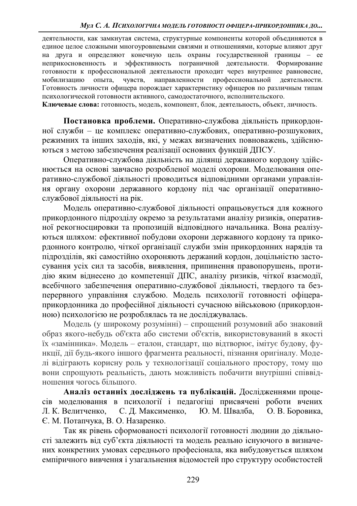деятельности, как замкнутая система, структурные компоненты которой объединяются в единое целое сложными многоуровневыми связями и отношениями, которые влияют друг на друга и определяют конечную цель охраны государственной границы - ее неприкосновенность и эффективность пограничной деятельности. Формирование готовности к профессиональной деятельности проходит через внутреннее равновесие, мобилизацию опыта, чувств, направленности профессиональной деятельности. Готовность личности офицера порождает характеристику офицеров по различным типам психологической готовности активного, самодостаточного, исполнительского.

**Ключевые слова:** готовность, модель, компонент, блок, деятельность, объект, личность,

Постановка проблеми. Оперативно-службова діяльність прикордонної служби - це комплекс оперативно-службових, оперативно-розшукових, режимних та інших заходів, які, у межах визначених повноважень, здійснюються з метою забезпечення реалізації основних функцій ДПСУ.

Оперативно-службова діяльність на ділянці державного кордону здійснюється на основі завчасно розробленої моделі охорони. Моделювання оперативно-службової діяльності проводиться відповідними органами управління органу охорони державного кордону під час організації оперативнослужбової діяльності на рік.

Модель оперативно-службової діяльності опрацьовується для кожного прикордонного підрозділу окремо за результатами аналізу ризиків, оперативної рекогносцировки та пропозицій відповідного начальника. Вона реалізуються шляхом: ефективної побудови охорони державного кордону та прикордонного контролю, чіткої організації служби змін прикордонних нарядів та підрозділів, які самостійно охороняють держаний кордон, доцільністю застосування усіх сил та засобів, виявлення, припинення правопорушень, протидію яким віднесено до компетенції ДПС, аналізу ризиків, чіткої взаємодії, всебічного забезпечення оперативно-службової діяльності, твердого та безперервного управління службою. Модель психології готовності офіцераприкордонника до професійної діяльності сучасною військовою (прикордонною) психологією не розроблялась та не досліджувалась.

Модель (у широкому розумінні) – спрощений розумовий або знаковий образ якого-небудь об'єкта або системи об'єктів, використовуваний в якості їх «замінника». Модель – еталон, стандарт, що відтворює, імітує будову, функції, дії будь-якого іншого фрагмента реальності, пізнання оригіналу. Моделі відіграють корисну роль у технологізації соціального простору, тому що вони спрощують реальність, дають можливість побачити внутрішні співвідношення чогось більшого.

Аналіз останніх досліджень та публікацій. Дослідженнями процесів моделювання в психології і педагогіці присвячені роботи вчених Л. К. Велитченко, С. Д. Максименко, Ю. М. Швалба, О. В. Боровика, Є. М. Потапчука, В. О. Назаренко.

Так як рівень сформованості психології готовності людини до діяльності залежить від суб'єкта діяльності та модель реально існуючого в визначених конкретних умовах середнього професіонала, яка вибудовується шляхом емпіричного вивчення і узагальнення відомостей про структуру особистостей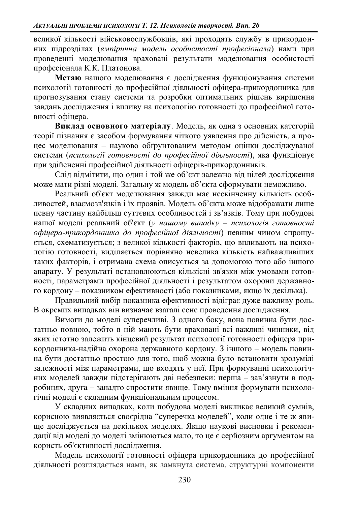великої кількості військовослужбовців, які проходять службу в прикордонних підрозділах (емпірична модель особистості професіонала) нами при проведенні моделювання враховані результати моделювання особистості професіонала К.К. Платонова.

Метаю нашого моделювання є дослідження функціонування системи психології готовності до професійної діяльності офіцера-прикордонника для прогнозування стану системи та розробки оптимальних рішень вирішення завдань дослідження і впливу на психологію готовності до професійної готовності офіцера.

Виклад основного матеріалу. Модель, як одна з основних категорій теорії пізнання є засобом формування чіткого уявлення про дійсність, а процес моделювання - науково обґрунтованим методом оцінки досліджуваної системи (психології готовності до професійної діяльності), яка функціонує при здійсненні професійної діяльності офіцерів-прикордонників.

Слід відмітити, що один і той же об'єкт залежно від цілей дослідження може мати різні моделі. Загальну ж модель об'єкта сформувати неможливо.

Реальний об'єкт моделювання завжди має нескінченну кількість особливостей, взаємозв'язків і їх проявів. Модель об'єкта може відображати лише певну частину найбільш суттєвих особливостей і зв'язків. Тому при побудові нашої моделі реальний об'єкт (у нашому випадку – психологія готовності  $o\phi$ *iцера-прикордонника до професійної діяльності) певним чином спрощу*ється, схематизується; з великої кількості факторів, що впливають на психологію готовності, виділяється порівняно невелика кількість найважливіших таких факторів, і отримана схема описується за допомогою того або іншого апарату. У результаті встановлюються кількісні зв'язки між умовами готовності, параметрами професійної діяльності і результатом охорони державного кордону – показником ефективності (або показниками, якщо їх декілька).

Правильний вибір показника ефективності відіграє дуже важливу роль. В окремих випадках він визначає взагалі сенс проведення дослідження.

Вимоги до моделі суперечливі. З одного боку, вона повинна бути достатньо повною, тобто в ній мають бути враховані всі важливі чинники, від яких істотно залежить кінцевий результат психології готовності офіцера прикордонника-надійна охорона державного кордону. З іншого – модель повинна бути достатньо простою для того, щоб можна було встановити зрозумілі залежності між параметрами, що входять у неї. При формуванні психологічних моделей завжди підстерігають дві небезпеки: перша - зав'язнути в подробицях, друга – занадто спростити явище. Тому вміння формувати психологічні моделі є складним функціональним процесом.

У складних випадках, коли побудова моделі викликає великий сумнів, корисною виявляється своєрідна "суперечка моделей", коли одне і те ж явище досліджується на декількох моделях. Якщо наукові висновки і рекомендації від моделі до моделі змінюються мало, то це є серйозним аргументом на користь об'єктивності дослідження.

Модель психології готовності офіцера прикордонника до професійної діяльності розглядається нами, як замкнута система, структурні компоненти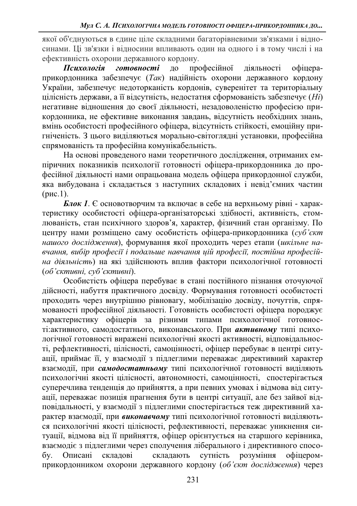якої об'єднуються в єдине ціле складними багаторівневими зв'язками і відносинами. Ці зв'язки і відносини впливають один на одного і в тому числі і на ефективність охорони державного кордону.

Психологія готовності до професійної діяльності офіцераприкордонника забезпечує (*Так*) надійність охорони державного кордону України, забезпечує недоторканість кордонів, суверенітет та територіальну цілісність держави, а її відсутність, недостатня сформованість забезпечує (Hi) негативне відношення до своєї діяльності, незадоволеністю професією прикордонника, не ефективне виконання завдань, відсутність необхідних знань, вмінь особистості професійного офіцера, відсутність стійкості, емоційну пригніченість. З цього виділяються морально-світоглядні установки, професійна спрямованість та професійна комунікабельність.

На основі проведеного нами теоретичного дослідження, отриманих емпіричних показників психології готовності офіцера-прикордонника до професійної діяльності нами опрацьована модель офіцера прикордонної служби, яка вибудована і складається з наступних складових і невід'ємних частин  $(pnc.1)$ .

*Блок 1*. Є основотворчим та включає в себе на верхньому рівні - характеристику особистості офіцера-організаторські здібності, активність, стомлюваність, стан психічного здоров'я, характер, фізичний стан організму. По центру нами розміщено саму особистість офіцера-прикордонника (суб'єкт нашого дослідження), формування якої проходить через етапи (шкільне на*ɜɱɚɧɧɹɜɢɛɿɪɩɪɨɮɟɫɿʀɿɩɨɞɚɥɶɲɟ ɧɚɜɱɚɧɧɹɰɿɣɩɪɨɮɟɫɿʀɩɨɫɬɿɣɧɚɩɪɨɮɟɫɿɣ* на діяльність) на які здійснюють вплив фактори психологічної готовності  $($ об'єктивні, суб'єктивні).

Особистість офіцера перебуває в стані постійного пізнання оточуючої дійсності, набуття практичного досвіду. Формування готовності особистості проходить через внутрішню рівновагу, мобілізацію досвіду, почуттів, спрямованості професійної діяльності. Готовність особистості офіцера породжує характеристику офіцерів за різними типами психологічної готовності: активного, самодостатнього, виконавського. При активному типі психологічної готовності виражені психологічні якості активності, відповідальності, рефлективності, цілісності, самоцінності, офіцер перебуває в центрі ситуації, приймає її, у взаємодії з підлеглими переважає директивний характер взаємодії, при самодостатньому типі психологічної готовності виділяють психологічні якості пілісності, автономності, самоцінності, спостерігається суперечлива тенденція до прийняття, а при певних умовах і відмова від ситуації, переважає позиція прагнення бути в центрі ситуації, але без зайвої відповідальності, у взаємодії з підлеглими спостерігається теж директивний характер взаємодії, при виконавчому типі психологічної готовності виділяються психологічні якості цілісності, рефлективності, переважає уникнення ситуації, відмова від її прийняття, офіцер орієнтується на старшого керівника, взаємодіє з підлеглими через сполучення ліберального і директивного способу. Описані складові складають сутність розуміння офіцеромприкордонником охорони державного кордону (об'єкт дослідження) через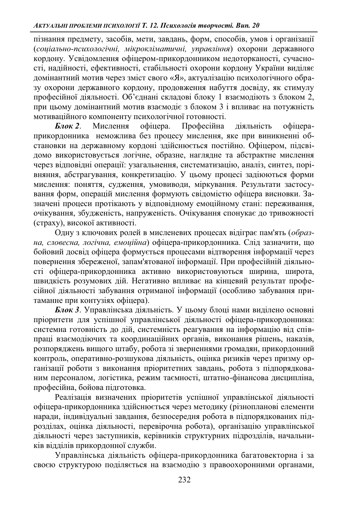пізнання предмету, засобів, мети, завдань, форм, способів, умов і організації (*соціально-психологічні, мікрокліматичні, управління*) охорони державного кордону. Усвідомлення офіцером-прикордонником недоторканості, сучасності, надійності, ефективності, стабільності охорони кордону України виділяє домінантний мотив через зміст свого «Я», актуалізацію психологічного образу охорони державного кордону, продовження набуття досвіду, як стимулу професійної діяльності. Об'єднані складові блоку 1 взаємодіють з блоком 2, при цьому домінантний мотив взаємодіє з блоком 3 і впливає на потужність мотиваційного компоненту психологічної готовності.

**Блок 2.** Мислення офіцера. Професійна діяльність офіцераприкордонника неможлива без процесу мислення, яке при виникненні обстановки на державному кордоні здійснюється постійно. Офіцером, підсвідомо використовується логічне, образне, наглядне та абстрактне мислення через відповідні операції: узагальнення, систематизацію, аналіз, синтез, порівняння, абстрагування, конкретизацію. У цьому процесі задіюються форми мислення: поняття, судження, умовиводи, міркування. Результати застосування форм, операцій мислення формують свідомістю офіцера висновки. Зазначені процеси протікають у відповідному емоційному стані: переживання, очікування, збудженість, напруженість. Очікування спонукає до тривожності (страху), високої активності.

Одну з ключових ролей в мисленевих процесах відіграє пам'ять (образна, словесна, логічна, емоційна) офіцера-прикордонника. Слід зазначити, що бойовий досвід офіцера формується процесами відтворення інформації через повернення збереженої, запам'ятованої інформації. При професійній діяльності офіцера-прикордонника активно використовуються ширина, широта, швидкість розумових дій. Негативно впливає на кінцевий результат професійної діяльності забування отриманої інформації (особливо забування притаманне при контузіях офіцера).

*Блок 3*. Управлінська діяльність. У цьому блоці нами виділено основні пріоритети для успішної управлінської діяльності офіцера-прикордонника: системна готовність до дій, системність реагування на інформацію від співпраці взаємодіючих та координаційних органів, виконання рішень, наказів, розпоряджень вищого штабу, робота зі зверненнями громадян, прикордонний контроль, оперативно-розшукова ліяльність, оцінка ризиків через призму організації роботи з виконання пріоритетних завдань, робота з підпорядкованим персоналом, логістика, режим таємності, штатно-фінансова дисципліна, професійна, бойова підготовка.

Реалізація визначених пріоритетів успішної управлінської діяльності офіцера-прикордонника здійснюється через методику (різнопланові елементи наради, індивідуальні завдання, безпосередня робота в підпорядкованих підрозділах, оцінка діяльності, перевірочна робота), організацію управлінської діяльності через заступників, керівників структурних підрозділів, начальників відділів прикордонної служби.

Управлінська діяльність офіцера-прикордонника багатовекторна і за своєю структурою поділяється на взаємодію з правоохоронними органами,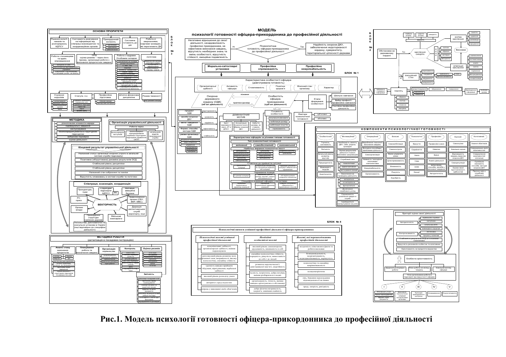

Рис.1. Модель психології готовності офіцера-прикордонника до професійної діяльності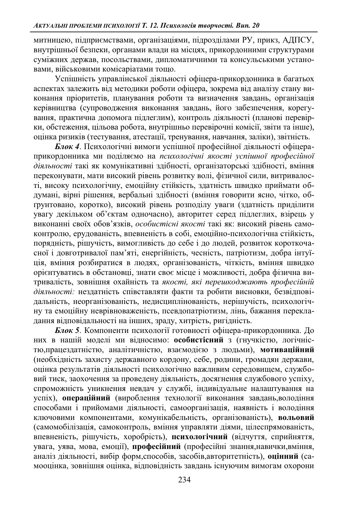митницею, підприємствами, організаціями, підрозділами РУ, прикз, АДПСУ, внутрішньої безпеки, органами влали на місцях, прикорлонними структурами суміжних держав, посольствами, дипломатичними та консульськими установами, військовими комісаріатами тошо.

Успішність управлінської діяльності офіцера-прикордонника в багатьох аспектах залежить від методики роботи офіцера, зокрема від аналізу стану виконання пріоритетів, планування роботи та визначення завдань, організація керівництва (супроводження виконання завдань, його забезпечення, корегування, практична допомога підлеглим), контроль діяльності (планові перевірки, обстеження, цільова робота, внутрішньо перевірочні комісії, звіти та інше), оцінка ризиків (тестування, атестації, тренування, навчання, заліки), звітність.

*Блок 4*. Психологічні вимоги успішної професійної діяльності офіцераприкордонника ми поділяємо на *психологічні якості успішної професійної* діяльності такі як комунікативні здібності, організаторські здібності, вміння переконувати, мати високий рівень розвитку волі, фізичної сили, витривалості, високу психологічну, емоційну стійкість, здатність швидко приймати обдумані, вірні рішення, вербальні здібності (вміння говорити ясно, чітко, обгрунтовано, коротко), високий рівень розподілу уваги (здатність приділити увагу декільком об'єктам одночасно), авторитет серед підлеглих, взірець у виконанні своїх обов'язків, *особистісні якості* такі як: високий рівень самоконтролю, ерудованість, впевненість в собі, емоційно-психологічна стійкість, порядність, рішучість, вимогливість до себе і до людей, розвиток короткочасної і довготривалої пам'яті, енергійність, чесність, патріотизм, добра інтуїція, вміння розбиратися в людях, організованість, чіткість, вміння швидко орієнтуватись в обстановці, знати своє місце і можливості, добра фізична витривалість, зовнішня охайність та якості, які перешкоджають професійній діяльності: нездатність співставляти факти та робити висновки, безвідповідальність, неорганізованість, недисциплінованість, нерішучість, психологічну та емоційну неврівноваженість, псевдопатріотизм, лінь, бажання перекладання відповідальності на інших, зраду, хитрість, ригідність.

*Блок 5*. Компоненти психології готовності офіцера-прикордонника. До них в нашій моделі ми відносимо: особистісний з (гнучкістю, логічністю, працездатністю, аналітичністю, взаємодією з людьми), мотиваційний (необхідність захисту державного кордону, себе, родини, громадян держави, оцінка результатів діяльності психологічно важливим середовищем, службовий тиск, заохочення за проведену діяльність, досягнення службового успіху, спроможність уникнення невдач у службі, індивідуальне налаштування на успіх), **операційний** (вироблення технології виконання завдань, володіння способами і прийомами діяльності, самоорганізація, наявність і володіння ключовими компонентами, комунікабельність, організованість), вольовий (самомобілізація, самоконтроль, вміння управляти діями, цілеспрямованість, впевненість, рішучість, хоробрість), психологічний (відчуття, сприйняття, увага, уява, мова, емоції), професійний (професійні знання, навички, вміння, аналіз діяльності, вибір форм,способів, засобів, авторитетність), оцінний (самооцінка, зовнішня оцінка, відповідність завдань існуючим вимогам охорони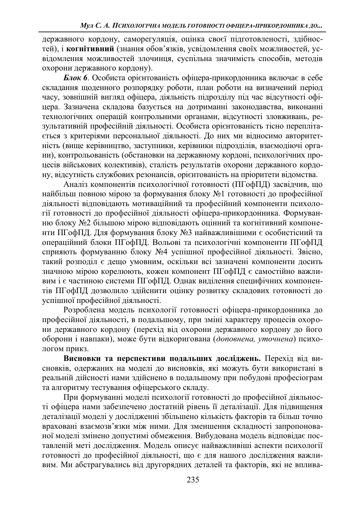державного кордону, саморегуляція, оцінка своєї підготовленості, здібностей), і когнітивний (знання обов'язків, усвідомлення своїх можливостей, усвідомлення можливостей злочинця, суспільна значимість способів, методів охорони державного кордону).

**Блок 6**. Особиста орієнтованість офіцера-прикордонника включає в себе складання щоденного розпорядку роботи, план роботи на визначений період часу, зовнішній вигляд офіцера, діяльність підрозділу під час відсутності офіцера. Зазначена складова базується на дотриманні законодавства, виконанні технологічних операцій контрольними органами, відсутності зловживань, результативній професійній діяльності. Особиста орієнтованість тісно переплітаеться з критеріями персональної діяльності. До них ми відносимо авторитетність (вище керівництво, заступники, керівники підрозділів, взаємодіючі органи), контрольованість (обстановки на державному кордоні, психологічних процесів військових колективів), сталість результатів охорони державного кордону, відсутність службових резонансів, орієнтованість на пріоритети відомства.

Аналіз компонентів психологічної готовності (ПГофПД) засвідчив, що найбільш повною мірою за формування блоку №1 готовності до професійної діяльності відповідають мотиваційний та професійний компоненти психології готовності до професійної діяльності офіцера-прикордонника. Формуванню блоку №2 більшою мірою відповідають оцінний та когнітивний компоненти ПГофПД. Для формування блоку №3 найважливішими є особистісний та операційний блоки ПГофПД. Вольові та психологічні компоненти ПГофПД сприяють формуванню блоку №4 успішної професійної діяльності. Звісно, такий розподіл є дещо умовним, оскільки всі зазначені компоненти досить значною мірою корелюють, кожен компонент ПГофПД є самостійно важливим і є частиною системи ПГофПД. Однак виділення специфічних компонентів ПГофПД дозволило здійснити оцінку розвитку складових готовності до успішної професійної діяльності.

Розроблена модель психології готовності офіцера-прикордонника до професійної ліяльності, в подальшому, при зміні характеру процесів охорони державного кордону (перехід від охорони державного кордону до його оборони і навпаки), може бути відкоригована (доповнена, уточнена) психологом прикз.

**Висновки та перспективи полальших лосліджень.** Перехід від висновків, одержаних на моделі до висновків, які можуть бути використані в реальній лійсності нами злійснено в полальшому при побулові професіограм та алгоритму тестування офіцерського складу.

При формуванні моделі психології готовності до професійної діяльності офіцера нами забезпечено достатній рівень її деталізації. Для підвищення деталізації моделі у дослідженні збільшено кількість факторів та більш точно враховані взаємозв'язки між ними. Для зменшення складності запропонованої моделі змінено допустимі обмеження. Вибудована модель відповідає поставленій меті дослідження. Модель описує найважливіші аспекти психології готовності до професійної діяльності, що є для нашого дослідження важливим. Ми абстрагувались від другорядних деталей та факторів, які не вплива-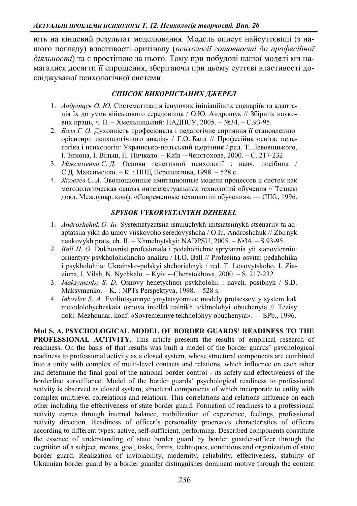ють на кінцевий результат моделювання. Модель описує найсуттєвіші (з нашого погляду) властивості оригіналу (психології готовності до професійної діяльності) та є простішою за нього. Тому при побудові нашої моделі ми намагалися досягти її спрощення, зберігаючи при цьому суттєві властивості досліджуваної психологічної системи.

## СПИСОК ВИКОРИСТАНИХ ДЖЕРЕЛ

- 1. *Андрошук О. Ю.* Систематизація існуючих ініціаційних сценаріїв та адаптація їх до умов військового середовища / О.Ю. Андрощук // Збірник наукових праць, ч. II. – Хмельницький: НАДПСУ, 2005. – №34. – С.93-95.
- 2. *Балл Г. О.* Духовність професіонала і педагогічне сприяння її становленню: орієнтири психологічного аналізу / Г.О. Балл // Професійна освіта: педагогіка і психологія: Українсько-польський щорічник / ред. Т. Левовицького, I. Зязюна, I. Вільш, Н. Ничкало. – Київ -- Ченстохова, 2000. – С. 217-232.
- 3. Максименко С. Д. Основи генетичної психології: навч. посібник / С.Д. Максименко. – К.: НПЦ Перспектива, 1998. – 528 с.
- 4. *Яковлев* С. А. Эволюционные имитационные модели процессов и систем как методологическая основа интеллектуальных технологий обучения // Тезисы докл. Междунар. конф. «Современные технологии обучения». — СПб., 1996.

## *SPYSOK VYKORYSTANYKH DZHEREL*

- 1. *Androshchuk O. Iu.* Systematyzatsiia isnuiuchykh initsiatsiinykh stsenariiv ta adaptatsiia yikh do umov viiskovoho seredovyshcha / O.Iu. Androshchuk // Zbirnyk naukovykh prats, ch. II. – Khmelnytskyi: NADPSU,  $2005. - N_234. - S.93-95.$
- 2. *Ball H. O.* Dukhovnist profesionala i pedahohichne spryiannia yii stanovlenniu: oriientyry psykholohichnoho analizu / H.O. Ball // Profesiina osvita: pedahohika i psykholohiia: Ukrainsko-polskyi shchorichnyk / red. T. Levovytskoho, I. Ziaziuna, I. Vilsh, N. Nychkalo.  $-Kyiv$  --Chenstokhova,  $2000. - S. 217-232$ .
- 3. *Maksymenko S. D.* Osnovy henetychnoi psykholohii : navch. posibnyk / S.D. Maksymenko.  $-K$ . : NPTs Perspektyva, 1998. – 528 s.
- 4. *Iakovlev S. A.* Evoliutsyonnye ymytatsyonnue modely protsessov y system kak metodolohycheskaia osnova intellektualnikh tekhnolohyi obuchenyia // Tezisy dokl. Mezhdunar. konf. «Sovremennye tekhnolohyy obuchenyia». - SPb., 1996.

**Mul S. A. PSYCHOLOGICAL MODEL OF BORDER GUARDS' READINESS TO THE PROFESSIONAL ACTIVITY.** This article presents the results of empirical research of readiness. On the basis of that results was built a model of the border guards' psychological readiness to professional activity as a closed system, whose structural components are combined into a unity with complex of multi-level contacts and relations, which influence on each other and determine the final goal of the national border control - its safety and effectiveness of the borderline surveillance. Model of the border guards' psychological readiness to professional activity is observed as closed system, structural components of which incorporate to entity with complex multilevel correlations and relations. This correlations and relations influence on each other including the effectiveness of state border guard. Formation of readiness to a professional activity comes through internal balance, mobilization of experience, feelings, professional activity direction. Readiness of officer's personality procreates characteristics of officers according to different types: active, self-sufficient, performing. Described components constitute the essence of understanding of state border guard by border guarder-officer through the cognition of a subject, means, goal, tasks, forms, techniques, conditions and organization of state border guard. Realization of inviolability, modernity, reliability, effectiveness, stability of Ukrainian border guard by a border guarder distinguishes dominant motive through the content